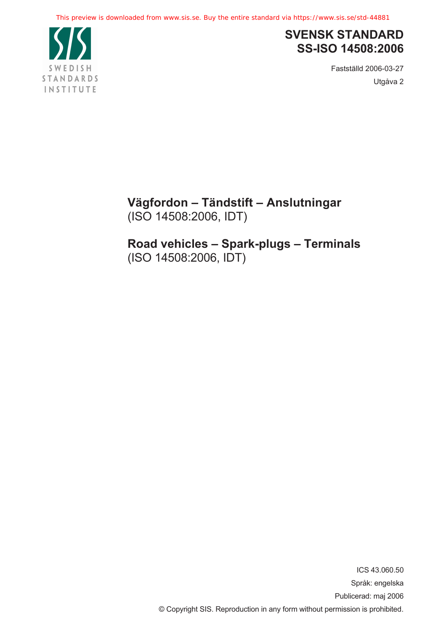

## **SVENSK STANDARD SS-ISO 14508:2006**

Fastställd 2006-03-27 Utgåva 2

**Vägfordon – Tändstift – Anslutningar**  (ISO 14508:2006, IDT)

## **Road vehicles – Spark-plugs – Terminals** (ISO 14508:2006, IDT)

ICS 43.060.50 Språk: engelska Publicerad: maj 2006 © Copyright SIS. Reproduction in any form without permission is prohibited.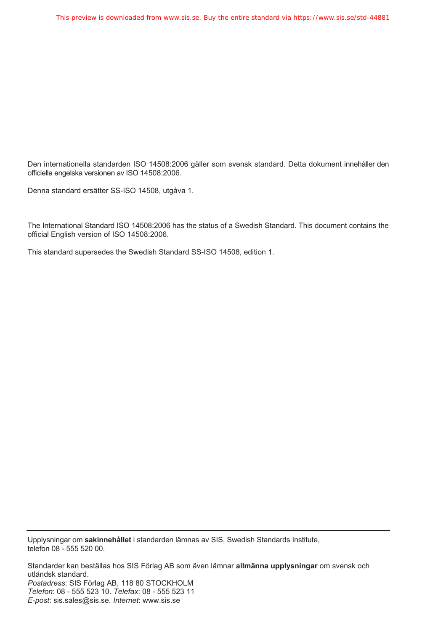Den internationella standarden ISO 14508:2006 gäller som svensk standard. Detta dokument innehåller den officiella engelska versionen av ISO 14508:2006.

Denna standard ersätter SS-ISO 14508, utgåva 1.

The International Standard ISO 14508:2006 has the status of a Swedish Standard. This document contains the official English version of ISO 14508:2006.

This standard supersedes the Swedish Standard SS-ISO 14508, edition 1.

Upplysningar om **sakinnehållet** i standarden lämnas av SIS, Swedish Standards Institute, telefon 08 - 555 520 00.

Standarder kan beställas hos SIS Förlag AB som även lämnar **allmänna upplysningar** om svensk och utländsk standard. *Postadress*: SIS Förlag AB, 118 80 STOCKHOLM *Telefon*: 08 - 555 523 10. *Telefax*: 08 - 555 523 11 *E-post*: sis.sales@sis.se. *Internet*: www.sis.se